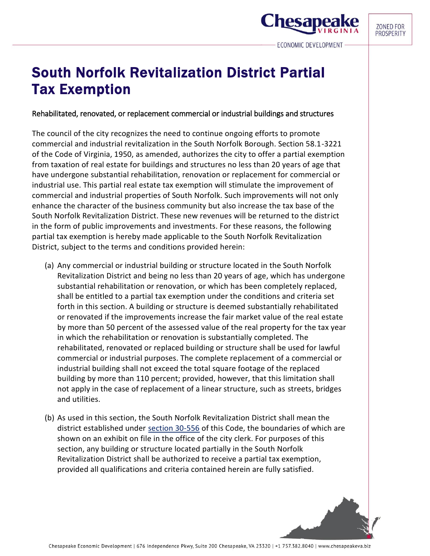**Chesape** 

## South Norfolk Revitalization District Partial Tax Exemption

## Rehabilitated, renovated, or replacement commercial or industrial buildings and structures

The council of the city recognizes the need to continue ongoing efforts to promote commercial and industrial revitalization in the South Norfolk Borough. Section 58.1-3221 of the Code of Virginia, 1950, as amended, authorizes the city to offer a partial exemption from taxation of real estate for buildings and structures no less than 20 years of age that have undergone substantial rehabilitation, renovation or replacement for commercial or industrial use. This partial real estate tax exemption will stimulate the improvement of commercial and industrial properties of South Norfolk. Such improvements will not only enhance the character of the business community but also increase the tax base of the South Norfolk Revitalization District. These new revenues will be returned to the district in the form of public improvements and investments. For these reasons, the following partial tax exemption is hereby made applicable to the South Norfolk Revitalization District, subject to the terms and conditions provided herein:

- (a) Any commercial or industrial building or structure located in the South Norfolk Revitalization District and being no less than 20 years of age, which has undergone substantial rehabilitation or renovation, or which has been completely replaced, shall be entitled to a partial tax exemption under the conditions and criteria set forth in this section. A building or structure is deemed substantially rehabilitated or renovated if the improvements increase the fair market value of the real estate by more than 50 percent of the assessed value of the real property for the tax year in which the rehabilitation or renovation is substantially completed. The rehabilitated, renovated or replaced building or structure shall be used for lawful commercial or industrial purposes. The complete replacement of a commercial or industrial building shall not exceed the total square footage of the replaced building by more than 110 percent; provided, however, that this limitation shall not apply in the case of replacement of a linear structure, such as streets, bridges and utilities.
- (b) As used in this section, the South Norfolk Revitalization District shall mean the district established under [section 30-556](https://library.municode.com/va/chesapeake/codes/code_of_ordinances?nodeId=PTIICOOR_CH30FITA_ARTXVIIITAINFI_S30-556SONOREDIES) of this Code, the boundaries of which are shown on an exhibit on file in the office of the city clerk. For purposes of this section, any building or structure located partially in the South Norfolk Revitalization District shall be authorized to receive a partial tax exemption, provided all qualifications and criteria contained herein are fully satisfied.